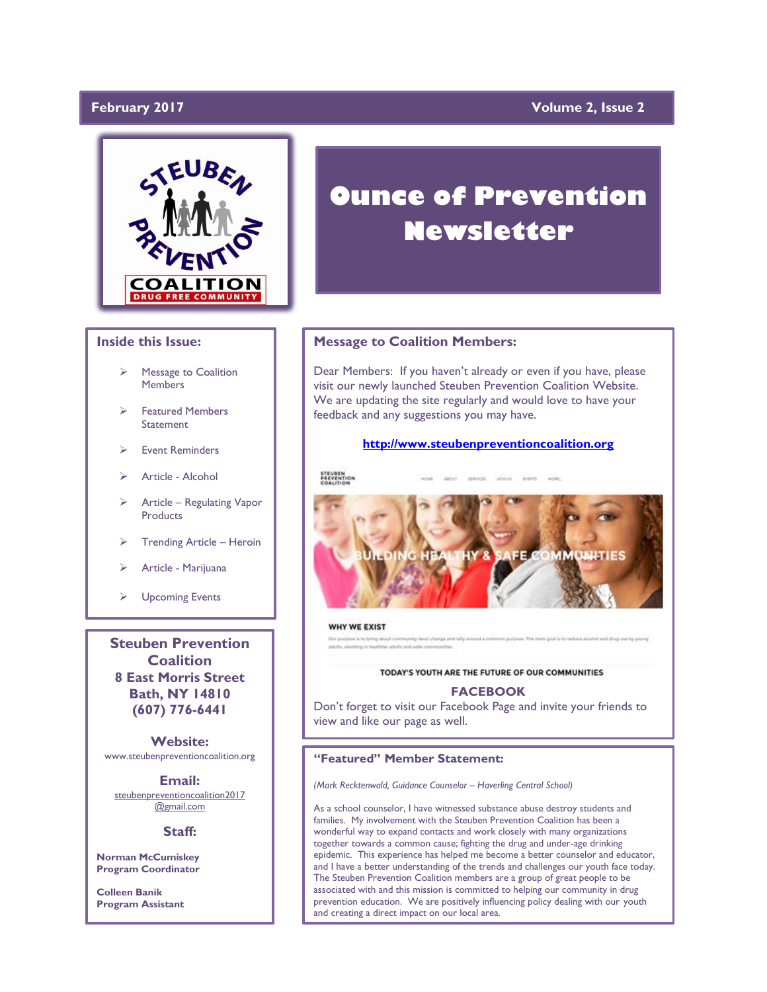### **February 2017**

### **Yolume 2, Issue 2**



#### **Inside this Issue:**

- Message to Coalition **Members**
- Featured Members **Statement**
- Event Reminders
- > Article Alcohol
- Article Regulating Vapor **Products**
- Trending Article Heroin
- Article Marijuana
- Upcoming Events

**Steuben Prevention Coalition 8 East Morris Street Bath, NY 14810 (607) 776-6441**

**Website:**  www.steubenpreventioncoalition.org

**Email:** 

steubenpreventioncoalition2017 @gmail.com

#### **Staff:**

**Norman McCumiskey Program Coordinator**

**Colleen Banik Program Assistant**

# **Ounce of Prevention Newsletter**

#### **Message to Coalition Members:**

Dear Members: If you haven't already or even if you have, please visit our newly launched Steuben Prevention Coalition Website. We are updating the site regularly and would love to have your feedback and any suggestions you may have.

#### **[http://www.steubenpreventioncoalition.org](http://www.steubenpreventioncoalition.org/)**



#### WHY WE EXIST

vel change and rolly around a common purpose. The main goal is to reduce alcohol and drug use by young or purpose is to bring a adults, resulting in he

#### TODAY'S YOUTH ARE THE FUTURE OF OUR COMMUNITIES

#### **FACEBOOK**

Don't forget to visit our Facebook Page and invite your friends to view and like our page as well.

#### **"Featured" Member Statement:**

*(Mark Recktenwald, Guidance Counselor – Haverling Central School)*

As a school counselor, I have witnessed substance abuse destroy students and families. My involvement with the Steuben Prevention Coalition has been a wonderful way to expand contacts and work closely with many organizations together towards a common cause; fighting the drug and under-age drinking epidemic. This experience has helped me become a better counselor and educator, and I have a better understanding of the trends and challenges our youth face today. The Steuben Prevention Coalition members are a group of great people to be associated with and this mission is committed to helping our community in drug prevention education. We are positively influencing policy dealing with our youth and creating a direct impact on our local area.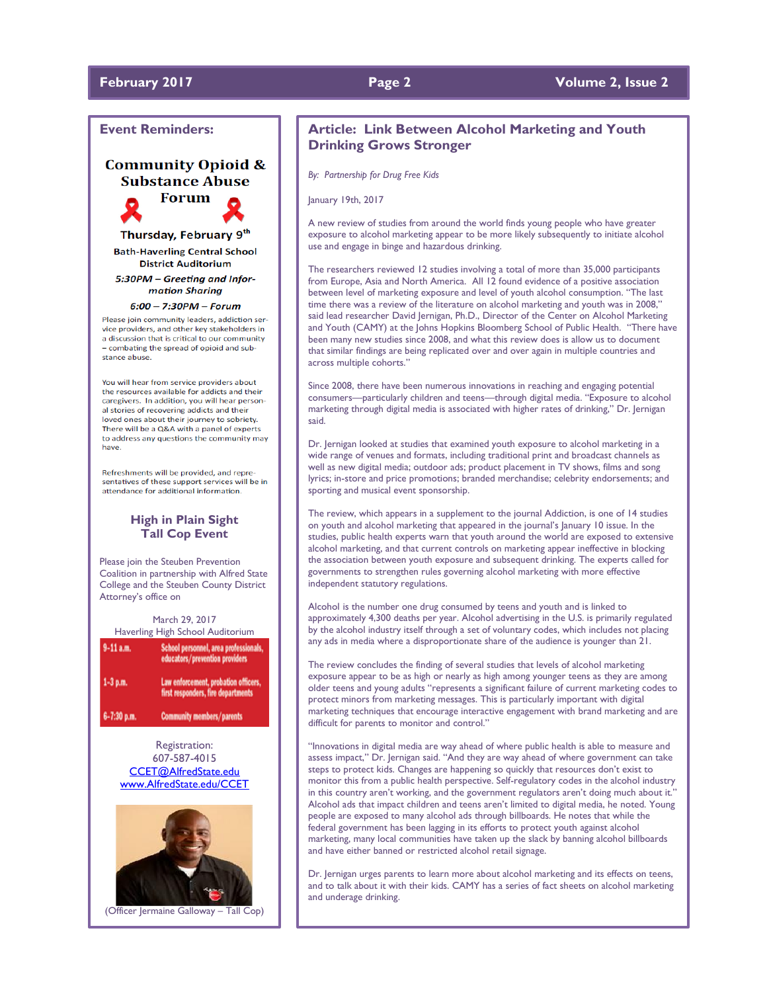### **February 2017 Page 2 Volume 2, Issue 2**

#### **Event Reminders:**

### **Community Opioid & Substance Abuse**



Thursday, February 9<sup>th</sup> **Bath-Haverling Central School District Auditorium** 

5:30PM - Greeting and Information Sharing

#### $6:00 - 7:30PM - Forum$

Please join community leaders, addiction service providers, and other key stakeholders in a discussion that is critical to our community - combating the spread of opioid and substance abuse.

You will hear from service providers about the resources available for addicts and their caregivers. In addition, you will hear personal stories of recovering addicts and their loved ones about their journey to sobriety. There will be a Q&A with a panel of experts to address any questions the community may have.

Refreshments will be provided, and repre sentatives of these support services will be in attendance for additional information.

#### **High in Plain Sight Tall Cop Event**

Please join the Steuben Prevention Coalition in partnership with Alfred State College and the Steuben County District Attorney's office on

March 29, 2017 Haverling High School Auditorium

| $9-11$ a.m. | School personnel, area professionals,<br>educators/prevention providers    |
|-------------|----------------------------------------------------------------------------|
| 1-3 p.m.    | Law enforcement, probation officers,<br>first responders, fire departments |
| 6-7:30 p.m. | <b>Community members/parents</b>                                           |

Registration: 607-587-4015 [CCET@AlfredState.edu](mailto:CCET@AlfredState.edu) [www.AlfredState.edu/CCET](http://www.alfredstate.edu/CCET)



(Officer Jermaine Galloway – Tall Cop)

#### **Article: Link Between Alcohol Marketing and Youth Drinking Grows Stronger**

*By: Partnership for Drug Free Kids*

January 19th, 2017

A new review of studies from around the world finds young people who have greater exposure to alcohol marketing appear to be more likely subsequently to initiate alcohol use and engage in binge and hazardous drinking.

The researchers reviewed 12 studies involving a total of more than 35,000 participants from Europe, Asia and North America. All 12 found evidence of a positive association between level of marketing exposure and level of youth alcohol consumption. "The last time there was a review of the literature on alcohol marketing and youth was in 2008," said lead researcher David Jernigan, Ph.D., Director of the Center on Alcohol Marketing and Youth (CAMY) at the Johns Hopkins Bloomberg School of Public Health. "There have been many new studies since 2008, and what this review does is allow us to document that similar findings are being replicated over and over again in multiple countries and across multiple cohorts."

Since 2008, there have been numerous innovations in reaching and engaging potential consumers—particularly children and teens—through digital media. "Exposure to alcohol marketing through digital media is associated with higher rates of drinking," Dr. Jernigan said.

Dr. Jernigan looked at studies that examined youth exposure to alcohol marketing in a wide range of venues and formats, including traditional print and broadcast channels as well as new digital media; outdoor ads; product placement in TV shows, films and song lyrics; in-store and price promotions; branded merchandise; celebrity endorsements; and sporting and musical event sponsorship.

The review, which appears in a supplement to the journal Addiction, is one of 14 studies on youth and alcohol marketing that appeared in the journal's January 10 issue. In the studies, public health experts warn that youth around the world are exposed to extensive alcohol marketing, and that current controls on marketing appear ineffective in blocking the association between youth exposure and subsequent drinking. The experts called for governments to strengthen rules governing alcohol marketing with more effective independent statutory regulations.

Alcohol is the number one drug consumed by teens and youth and is linked to approximately 4,300 deaths per year. Alcohol advertising in the U.S. is primarily regulated by the alcohol industry itself through a set of voluntary codes, which includes not placing any ads in media where a disproportionate share of the audience is younger than 21.

The review concludes the finding of several studies that levels of alcohol marketing exposure appear to be as high or nearly as high among younger teens as they are among older teens and young adults "represents a significant failure of current marketing codes to protect minors from marketing messages. This is particularly important with digital marketing techniques that encourage interactive engagement with brand marketing and are difficult for parents to monitor and control."

"Innovations in digital media are way ahead of where public health is able to measure and assess impact," Dr. Jernigan said. "And they are way ahead of where government can take steps to protect kids. Changes are happening so quickly that resources don't exist to monitor this from a public health perspective. Self-regulatory codes in the alcohol industry in this country aren't working, and the government regulators aren't doing much about it. Alcohol ads that impact children and teens aren't limited to digital media, he noted. Young people are exposed to many alcohol ads through billboards. He notes that while the federal government has been lagging in its efforts to protect youth against alcohol marketing, many local communities have taken up the slack by banning alcohol billboards and have either banned or restricted alcohol retail signage.

Dr. Jernigan urges parents to learn more about alcohol marketing and its effects on teens, and to talk about it with their kids. CAMY has a series of fact sheets on alcohol marketing and underage drinking.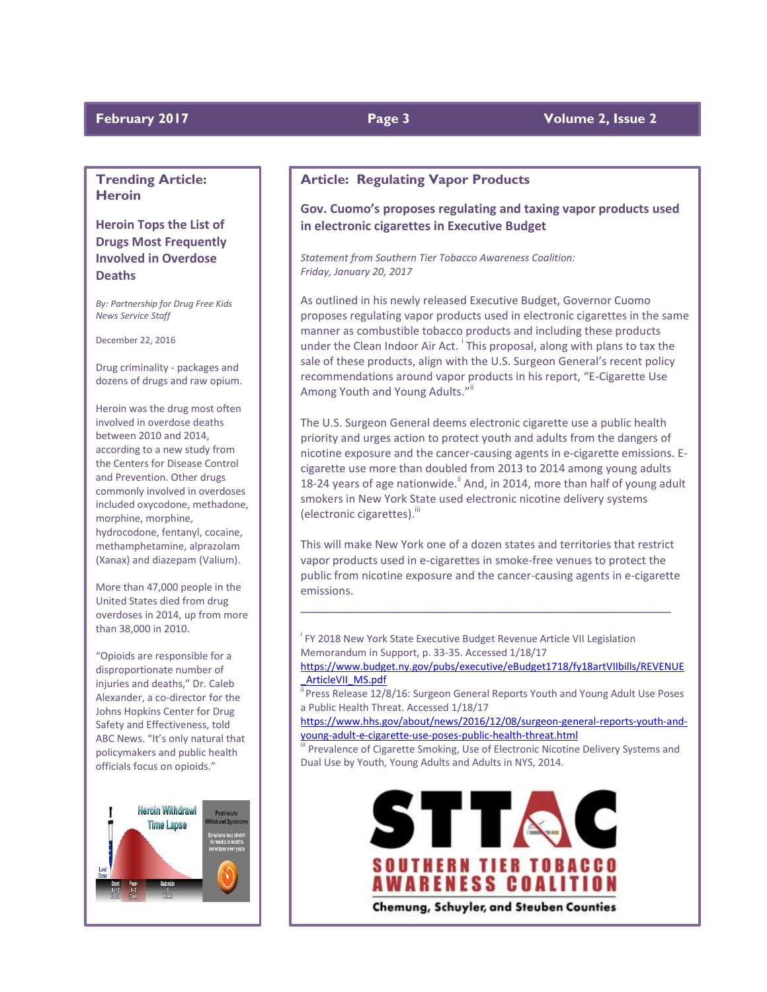#### **February 2017 Page 3 Volume 2, Issue 2**

### **Trending Article: Heroin**

### **Heroin Tops the List of Drugs Most Frequently Involved in Overdose Deaths**

*By: Partnership for Drug Free Kids News Service Staff*

December 22, 2016

Drug criminality - packages and dozens of drugs and raw opium.

Heroin was the drug most often involved in overdose deaths between 2010 and 2014, according to a new study from the Centers for Disease Control and Prevention. Other drugs commonly involved in overdoses included oxycodone, methadone, morphine, morphine, hydrocodone, fentanyl, cocaine, methamphetamine, alprazolam (Xanax) and diazepam (Valium).

More than 47,000 people in the United States died from drug overdoses in 2014, up from more than 38,000 in 2010.

"Opioids are responsible for a disproportionate number of injuries and deaths," Dr. Caleb Alexander, a co-director for the Johns Hopkins Center for Drug Safety and Effectiveness, told ABC News. "It's only natural that policymakers and public health officials focus on opioids."



### **Article: Regulating Vapor Products**

### **Gov. Cuomo's proposes regulating and taxing vapor products used in electronic cigarettes in Executive Budget**

*Statement from Southern Tier Tobacco Awareness Coalition: Friday, January 20, 2017*

As outlined in his newly released Executive Budget, Governor Cuomo proposes regulating vapor products used in electronic cigarettes in the same manner as combustible tobacco products and including these products under the Clean Indoor Air Act. <sup>i</sup> This proposal, along with plans to tax the sale of these products, align with the U.S. Surgeon General's recent policy recommendations around vapor products in his report, "E-Cigarette Use Among Youth and Young Adults."<sup>ii</sup>

The U.S. Surgeon General deems electronic cigarette use a public health priority and urges action to protect youth and adults from the dangers of nicotine exposure and the cancer-causing agents in e-cigarette emissions. Ecigarette use more than doubled from 2013 to 2014 among young adults 18-24 years of age nationwide.<sup> $\mathbf{ii}$ </sup> And, in 2014, more than half of young adult smokers in New York State used electronic nicotine delivery systems (electronic cigarettes).<sup>iii</sup>

This will make New York one of a dozen states and territories that restrict vapor products used in e-cigarettes in smoke-free venues to protect the public from nicotine exposure and the cancer-causing agents in e-cigarette emissions.

\_\_\_\_\_\_\_\_\_\_\_\_\_\_\_\_\_\_\_\_\_\_\_\_\_\_\_\_\_\_\_\_\_\_\_\_\_\_\_\_\_\_\_\_\_\_\_\_\_\_\_\_\_\_

<sup>i</sup> FY 2018 New York State Executive Budget Revenue Article VII Legislation Memorandum in Support, p. 33-35. Accessed 1/18/17

[https://www.budget.ny.gov/pubs/executive/eBudget1718/fy18artVIIbills/REVENUE](https://www.budget.ny.gov/pubs/executive/eBudget1718/fy18artVIIbills/REVENUE_ArticleVII_MS.pdf) [\\_ArticleVII\\_MS.pdf](https://www.budget.ny.gov/pubs/executive/eBudget1718/fy18artVIIbills/REVENUE_ArticleVII_MS.pdf)

<sup>11</sup> Press Release 12/8/16: Surgeon General Reports Youth and Young Adult Use Poses a Public Health Threat. Accessed 1/18/17

[https://www.hhs.gov/about/news/2016/12/08/surgeon-general-reports-youth-and](https://www.hhs.gov/about/news/2016/12/08/surgeon-general-reports-youth-and-young-adult-e-cigarette-use-poses-public-health-threat.html)[young-adult-e-cigarette-use-poses-public-health-threat.html](https://www.hhs.gov/about/news/2016/12/08/surgeon-general-reports-youth-and-young-adult-e-cigarette-use-poses-public-health-threat.html)

Prevalence of Cigarette Smoking, Use of Electronic Nicotine Delivery Systems and Dual Use by Youth, Young Adults and Adults in NYS, 2014.